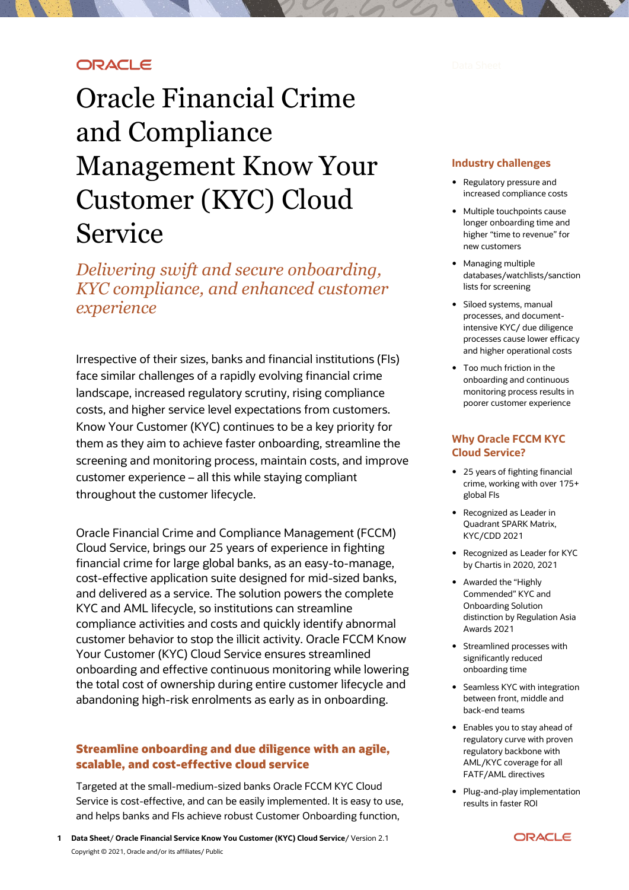## **ORACLE**

# Oracle Financial Crime and Compliance Management Know Your Customer (KYC) Cloud Service

*Delivering swift and secure onboarding, KYC compliance, and enhanced customer experience*

Irrespective of their sizes, banks and financial institutions (FIs) face similar challenges of a rapidly evolving financial crime landscape, increased regulatory scrutiny, rising compliance costs, and higher service level expectations from customers. Know Your Customer (KYC) continues to be a key priority for them as they aim to achieve faster onboarding, streamline the screening and monitoring process, maintain costs, and improve customer experience – all this while staying compliant throughout the customer lifecycle.

Oracle Financial Crime and Compliance Management (FCCM) Cloud Service, brings our 25 years of experience in fighting financial crime for large global banks, as an easy-to-manage, cost-effective application suite designed for mid-sized banks, and delivered as a service. The solution powers the complete KYC and AML lifecycle, so institutions can streamline compliance activities and costs and quickly identify abnormal customer behavior to stop the illicit activity. Oracle FCCM Know Your Customer (KYC) Cloud Service ensures streamlined onboarding and effective continuous monitoring while lowering the total cost of ownership during entire customer lifecycle and abandoning high-risk enrolments as early as in onboarding.

## **Streamline onboarding and due diligence with an agile, scalable, and cost-effective cloud service**

Targeted at the small-medium-sized banks Oracle FCCM KYC Cloud Service is cost-effective, and can be easily implemented. It is easy to use, and helps banks and FIs achieve robust Customer Onboarding function,

#### **Industry challenges**

- Regulatory pressure and increased compliance costs
- Multiple touchpoints cause longer onboarding time and higher "time to revenue" for new customers
- Managing multiple databases/watchlists/sanction lists for screening
- Siloed systems, manual processes, and documentintensive KYC/ due diligence processes cause lower efficacy and higher operational costs
- Too much friction in the onboarding and continuous monitoring process results in poorer customer experience

#### **Why Oracle FCCM KYC Cloud Service?**

- 25 years of fighting financial crime, working with over 175+ global FIs
- Recognized as Leader in Quadrant SPARK Matrix, KYC/CDD 2021
- Recognized as Leader for KYC by Chartis in 2020, 2021
- Awarded the "Highly Commended" KYC and Onboarding Solution distinction by Regulation Asia Awards 2021
- Streamlined processes with significantly reduced onboarding time
- Seamless KYC with integration between front, middle and back-end teams
- Enables you to stay ahead of regulatory curve with proven regulatory backbone with AML/KYC coverage for all FATF/AML directives
- Plug-and-play implementation results in faster ROI

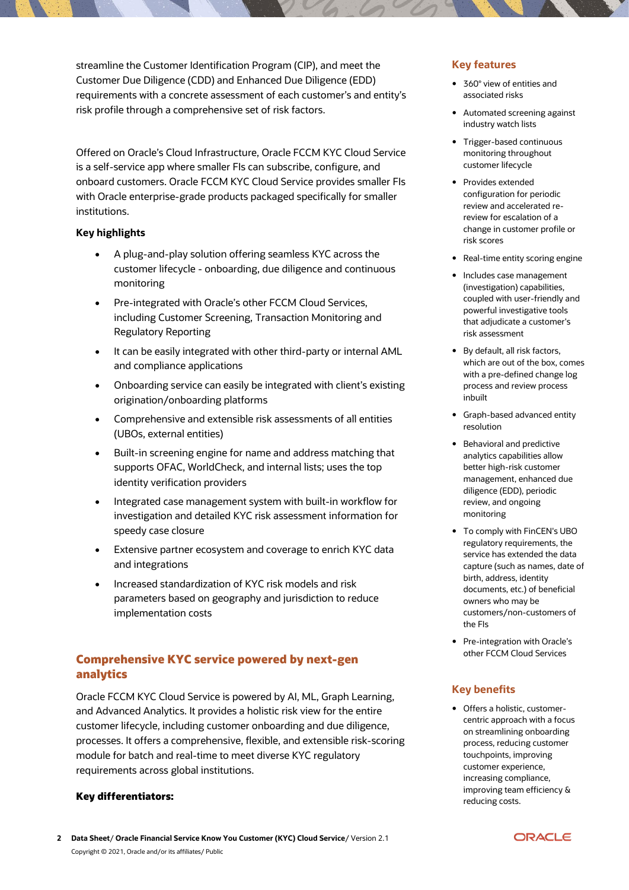streamline the Customer Identification Program (CIP), and meet the Customer Due Diligence (CDD) and Enhanced Due Diligence (EDD) requirements with a concrete assessment of each customer's and entity's risk profile through a comprehensive set of risk factors.

Offered on Oracle's Cloud Infrastructure, Oracle FCCM KYC Cloud Service is a self-service app where smaller FIs can subscribe, configure, and onboard customers. Oracle FCCM KYC Cloud Service provides smaller FIs with Oracle enterprise-grade products packaged specifically for smaller institutions.

#### **Key highlights**

- A plug-and-play solution offering seamless KYC across the customer lifecycle - onboarding, due diligence and continuous monitoring
- Pre-integrated with Oracle's other FCCM Cloud Services, including Customer Screening, Transaction Monitoring and Regulatory Reporting
- It can be easily integrated with other third-party or internal AML and compliance applications
- Onboarding service can easily be integrated with client's existing origination/onboarding platforms
- Comprehensive and extensible risk assessments of all entities (UBOs, external entities)
- Built-in screening engine for name and address matching that supports OFAC, WorldCheck, and internal lists; uses the top identity verification providers
- Integrated case management system with built-in workflow for investigation and detailed KYC risk assessment information for speedy case closure
- Extensive partner ecosystem and coverage to enrich KYC data and integrations
- Increased standardization of KYC risk models and risk parameters based on geography and jurisdiction to reduce implementation costs

## **Comprehensive KYC service powered by next-gen analytics**

Oracle FCCM KYC Cloud Service is powered by AI, ML, Graph Learning, and Advanced Analytics. It provides a holistic risk view for the entire customer lifecycle, including customer onboarding and due diligence, processes. It offers a comprehensive, flexible, and extensible risk-scoring module for batch and real-time to meet diverse KYC regulatory requirements across global institutions.

#### **Key differentiators:**

## **Key features**

- 360° view of entities and associated risks
- Automated screening against industry watch lists
- Trigger-based continuous monitoring throughout customer lifecycle
- Provides extended configuration for periodic review and accelerated rereview for escalation of a change in customer profile or risk scores
- Real-time entity scoring engine
- Includes case management (investigation) capabilities, coupled with user-friendly and powerful investigative tools that adjudicate a customer's risk assessment
- By default, all risk factors, which are out of the box, comes with a pre-defined change log process and review process inbuilt
- Graph-based advanced entity resolution
- Behavioral and predictive analytics capabilities allow better high-risk customer management, enhanced due diligence (EDD), periodic review, and ongoing monitoring
- To comply with FinCEN's UBO regulatory requirements, the service has extended the data capture (such as names, date of birth, address, identity documents, etc.) of beneficial owners who may be customers/non-customers of the FIs
- Pre-integration with Oracle's other FCCM Cloud Services

### **Key benefits**

 Offers a holistic, customercentric approach with a focus on streamlining onboarding process, reducing customer touchpoints, improving customer experience, increasing compliance, improving team efficiency & reducing costs.

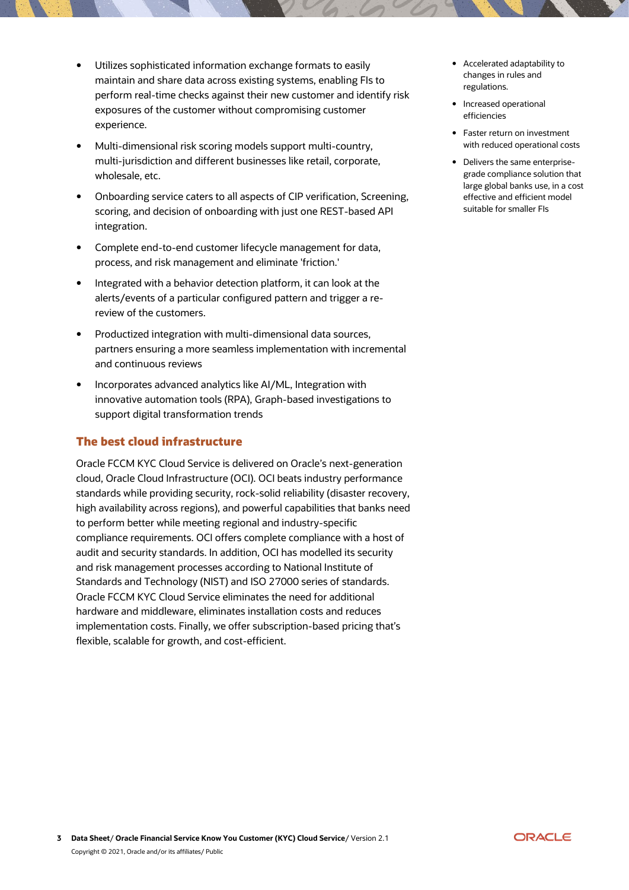- Utilizes sophisticated information exchange formats to easily maintain and share data across existing systems, enabling FIs to perform real-time checks against their new customer and identify risk exposures of the customer without compromising customer experience.
- Multi-dimensional risk scoring models support multi-country, multi-jurisdiction and different businesses like retail, corporate, wholesale, etc.
- Onboarding service caters to all aspects of CIP verification, Screening, scoring, and decision of onboarding with just one REST-based API integration.
- Complete end-to-end customer lifecycle management for data, process, and risk management and eliminate 'friction.'
- Integrated with a behavior detection platform, it can look at the alerts/events of a particular configured pattern and trigger a rereview of the customers.
- Productized integration with multi-dimensional data sources, partners ensuring a more seamless implementation with incremental and continuous reviews
- Incorporates advanced analytics like AI/ML, Integration with innovative automation tools (RPA), Graph-based investigations to support digital transformation trends

#### **The best cloud infrastructure**

Oracle FCCM KYC Cloud Service is delivered on Oracle's next-generation cloud, Oracle Cloud Infrastructure (OCI). OCI beats industry performance standards while providing security, rock-solid reliability (disaster recovery, high availability across regions), and powerful capabilities that banks need to perform better while meeting regional and industry-specific compliance requirements. OCI offers complete compliance with a host of audit and security standards. In addition, OCI has modelled its security and risk management processes according to National Institute of Standards and Technology (NIST) and ISO 27000 series of standards. Oracle FCCM KYC Cloud Service eliminates the need for additional hardware and middleware, eliminates installation costs and reduces implementation costs. Finally, we offer subscription-based pricing that's flexible, scalable for growth, and cost-efficient.

- Accelerated adaptability to changes in rules and regulations.
- Increased operational efficiencies
- Faster return on investment with reduced operational costs
- Delivers the same enterprisegrade compliance solution that large global banks use, in a cost effective and efficient model suitable for smaller FIs